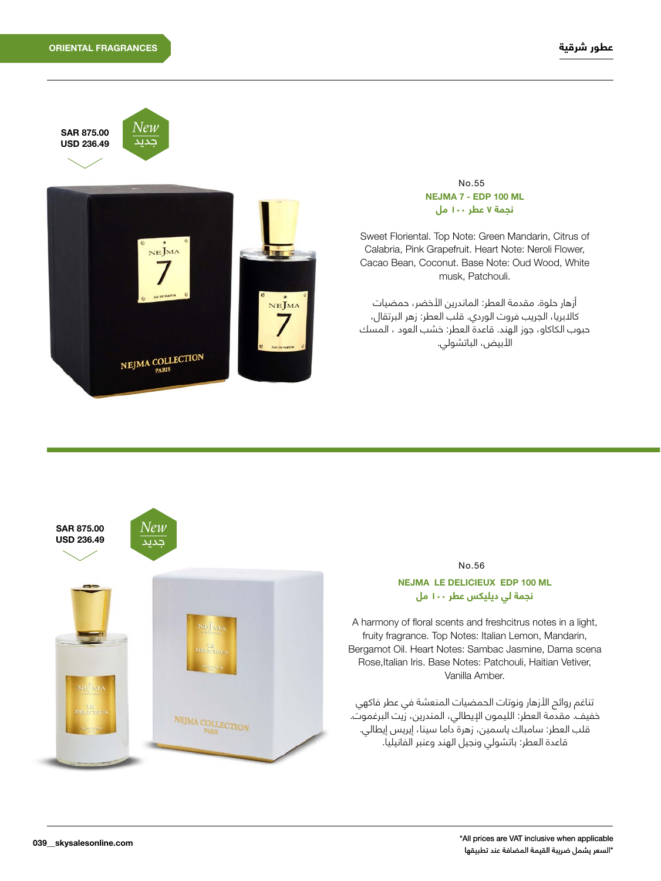



#### No.55 **نجمة 7 عطر ١٠٠ مل NEJMA 7 - EDP 100 ML**

Sweet Floriental. Top Note: Green Mandarin, Citrus of Calabria, Pink Grapefruit. Heart Note: Neroli Flower, Cacao Bean, Coconut. Base Note: Oud Wood, White musk, Patchouli.

أزهار حلوة. مقدمة العطر: الماندرين الأخضر، حمضيات كاالبريا، الجريب فروت الوردي. قلب العطر: زهر البرتقال، حبوب الكاكاو، جوز الهند. قاعدة العطر: خشب العود ، المسك الأبيض، الباتشولي.



### No.56

## **نجمة لي ديليكس عطر 100 مل** NEJMA LE DELICIEUX EDP 100 ML

A harmony of floral scents and freshcitrus notes in a light, fruity fragrance. Top Notes: Italian Lemon, Mandarin, Bergamot Oil. Heart Notes: Sambac Jasmine, Dama scena Rose, Italian Iris. Base Notes: Patchouli, Haitian Vetiver, Vanilla Amber.

تناغم روائح الأزهار ونوتات الحمضيات المنعشة في عطر فاكهي خفيف. مقدمة العطر: الليمون اإليطالي، المندرين، زيت البرغموت. قلب العطر: سامباك ياسمين، زهرة داما سينا، إيريس إيطالي. قاعدة العطر: باتشولي ونجيل الهند وعنبر الفانيليا.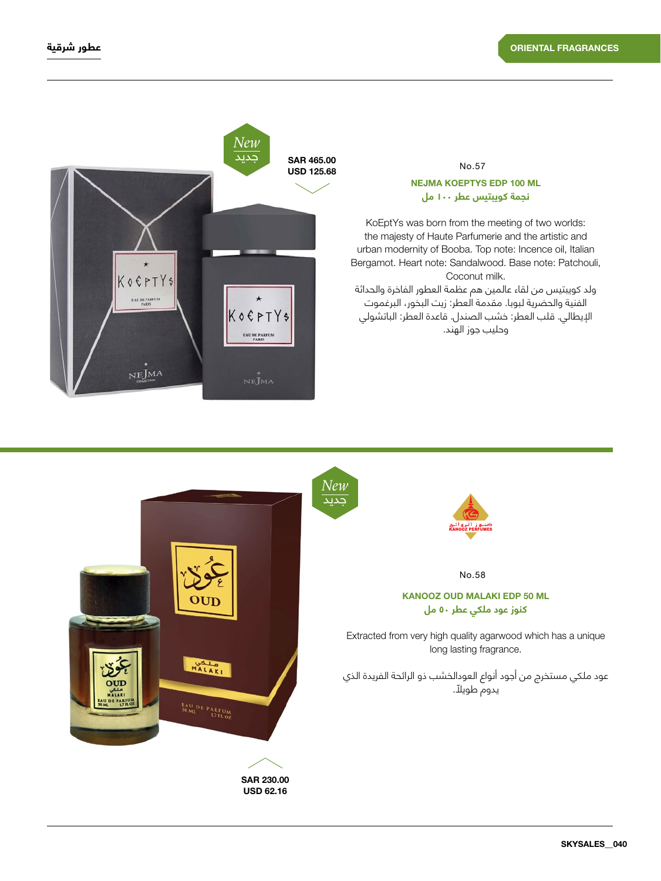

# No.57 **نجمة كويبتيس عطر 100 مل NEJMA KOEPTYS EDP 100 ML**

KoEptYs was born from the meeting of two worlds: the majesty of Haute Parfumerie and the artistic and urban modernity of Booba. Top note: Incence oil, Italian Bergamot. Heart note: Sandalwood. Base note: Patchouli, Coconut milk.

ولد كويبتيس من لقاء عالمين هم عظمة العطور الفاخرة والحداثة الفنية والحضرية لبوبا. مقدمة العطر: زيت البخور، البرغموت اإليطالي. قلب العطر: خشب الصندل. قاعدة العطر: الباتشولي وحليب جوز الهند.

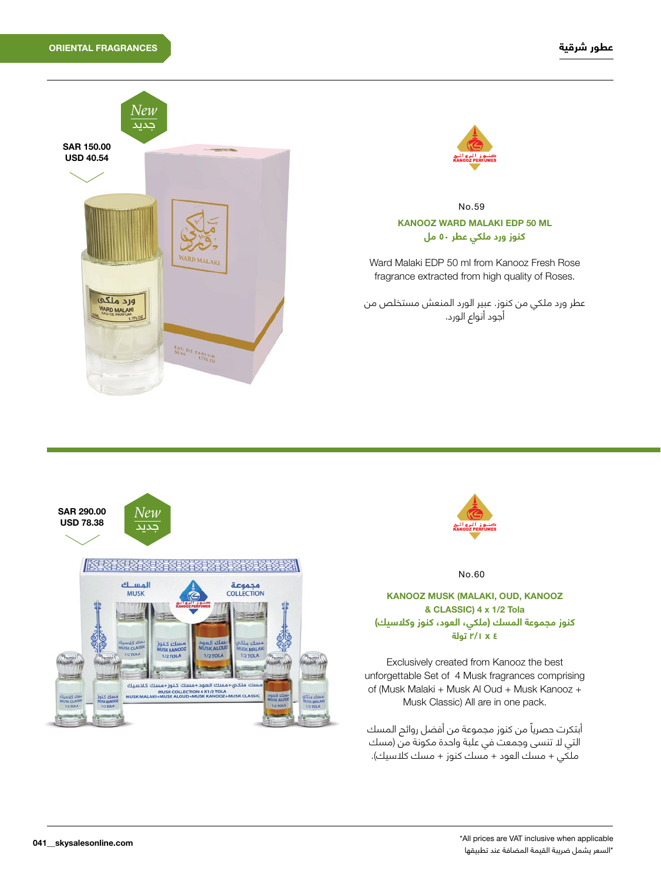



# **كنوز ورد ملكي عطر ٥٠ مل** KANOOZ WARD MALAKI EDP 50 ML No.59

Ward Malaki EDP 50 ml from Kanooz Fresh Rose fragrance extracted from high quality of Roses.

عطر ورد ملكي من كنوز. عبير الورد المنعش مستخلص من أجود أنواع الورد.





No.60

## **كنوز مجموعة المسك )ملكي، العود، كنوز وكالسيك( ٤ x ٢/١ تولة** KANOOZ MUSK (MALAKI, OUD, KANOOZ & CLASSIC) 4 x 1/2 Tola

Exclusively created from Kanooz the best unforgettable Set of 4 Musk fragrances comprising of (Musk Malaki + Musk Al Oud + Musk Kanooz + Musk Classic) All are in one pack.

ً أبتكرت حصريا من كنوز مجموعة من أفضل روائح المسك التي لا تنسى وجمعت في علبة واحدة مكونة من (مسك ملكي + مسك العود + مسك كنوز + مسك كالسيك(.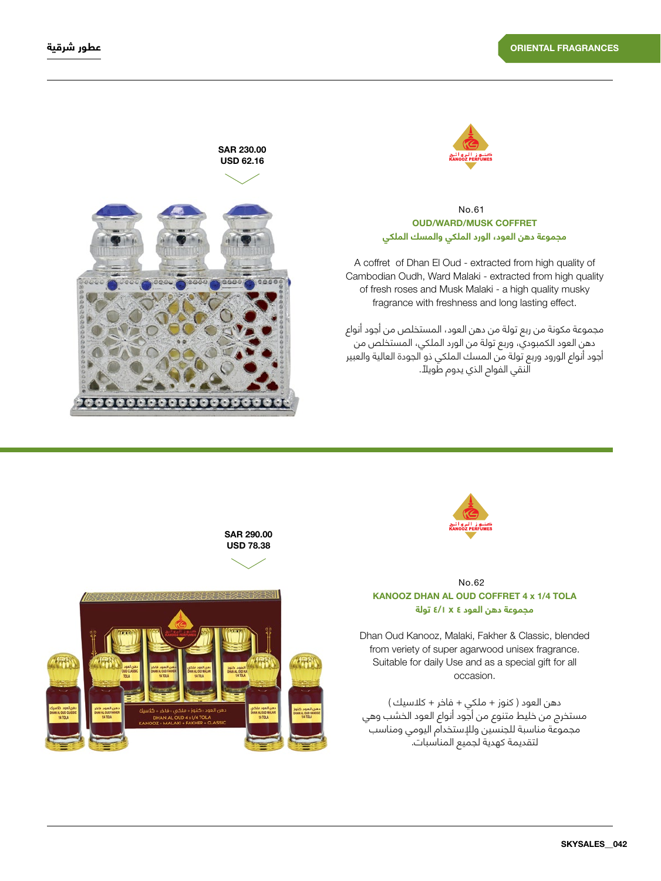



## **COFFRET مجموعة دهن العود، الورد الملكي والمسك الملكي**  $No<sub>61</sub>$

A coffret of Dhan El Oud - extracted from high quality of Cambodian Oudh, Ward Malaki - extracted from high quality of fresh roses and Musk Malaki - a high quality musky fragrance with freshness and long lasting effect.

مجموعة مكونة من ربع تولة من دهن العود، المستخلص من أجود أنواع دهن العود الكمبودي، وربع تولة من الورد الملكي، المستخلص من أجود أنواع الورود وربع تولة من المسك الملكي ذو الجودة العالية والعبير ً النقي الفواح الذي يدوم طويال.



SAR 290.00



## **TOLA 1/4 TOLA 1/4 TOLA 1/4 TOLA 1/4 TOLA مجموعة دهن العود ٤ x ٤/١ تولة** No.62

Dhan Oud Kanooz, Malaki, Fakher & Classic, blended from veriety of super agarwood unisex fragrance. Suitable for daily Use and as a special gift for all occasion.

دهن العود ) كنوز + ملكي + فاخر + كالسيك ( مستخرج من خليط متنوع من أجود أنواع العود الخشب وهي مجموعة مناسبة للجنسين وللإستخدام اليومي ومناسب لتقديمة كهدية لجميع المناسبات.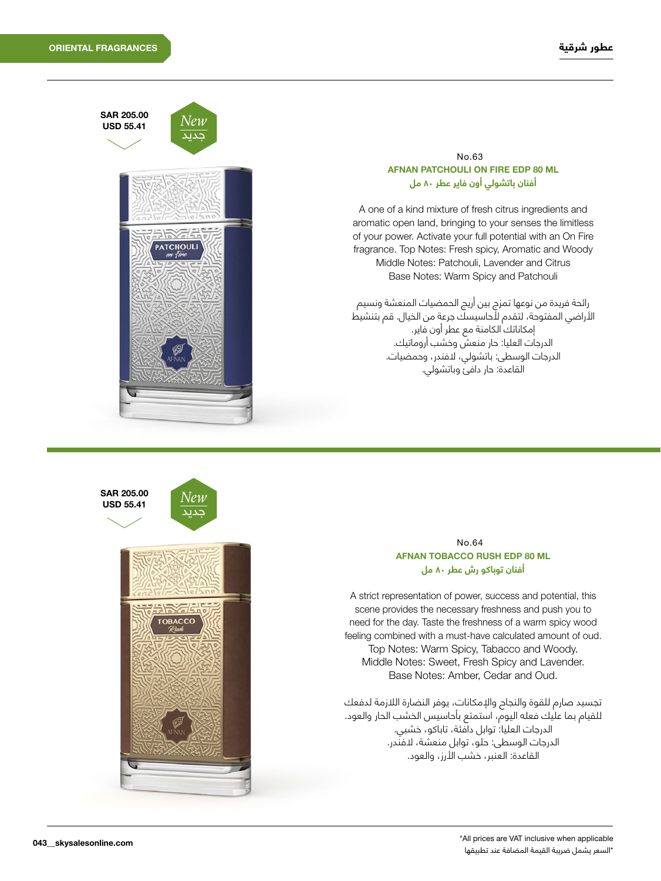

# **AFNAN PATCHOULI ON FIRE EDP 80 ML أفنان باتشولي أون فاير عطر ٨٠ مل** No.63

A one of a kind mixture of fresh citrus ingredients and aromatic open land, bringing to your senses the limitless of your power. Activate your full potential with an On Fire fragrance. Top Notes: Fresh spicy, Aromatic and Woody Middle Notes: Patchouli, Lavender and Citrus Base Notes: Warm Spicy and Patchouli

رائحة فريدة من نوعها تمزج بين أريج الحمضيات المنعشة ونسيم األراضي المفتوحة، لتقدم ألحاسيسك جرعة من الخيال. قم بتنشيط إمكاناتك الكامنة مع عطر أون فاير. الدرجات العليا: حار منعش وخشب أروماتيك. الدرجات الوسطى: باتشولي، الفندر، وحمضيات. القاعدة: حار دافئ وباتشولي.



## **AFNAN TOBACCO RUSH EDP 80 ML أفنان توباكو رش عطر ٨٠ مل**  $N_0$  $64$

A strict representation of power, success and potential, this scene provides the necessary freshness and push you to need for the day. Taste the freshness of a warm spicy wood feeling combined with a must-have calculated amount of oud. Top Notes: Warm Spicy, Tabacco and Woody. Middle Notes: Sweet, Fresh Spicy and Lavender. Base Notes: Amber, Cedar and Oud.

تجسيد صارم للقوة والنجاح والإمكانات، يوفر النضارة اللازمة لدفعك للقيام بما عليك فعله اليوم، استمتع بأحاسيس الخشب الحار والعود. الدرجات العليا: توابل دافئة، تاباكو، خشبي. الدرجات الوسطى: حلو، توابل منعشة، الفندر. القاعدة: العنبر، خشب األرز، والعود.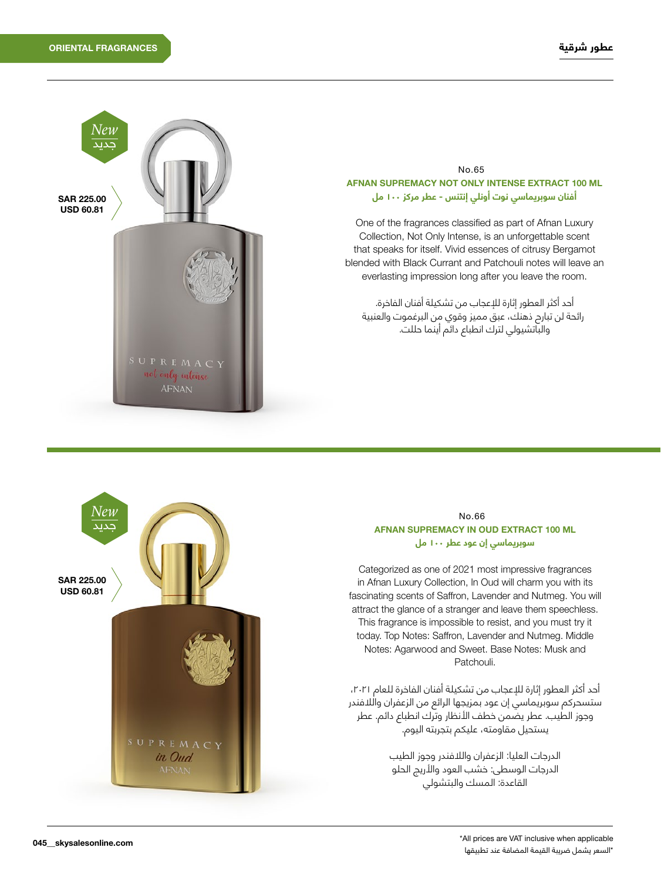

#### **AFNAN SUPREMACY NOT ONLY INTENSE EXTRACT 100 ML أفنان سوبريماسي نوت أونلي إنتنس - عطر مركز ١٠٠ مل**  $No<sub>65</sub>$

One of the fragrances classified as part of Afnan Luxury Collection, Not Only Intense, is an unforgettable scent that speaks for itself. Vivid essences of citrusy Bergamot blended with Black Currant and Patchouli notes will leave an everlasting impression long after you leave the room.

أحد أكثر العطور إثارة لإلعجاب من تشكيلة أفنان الفاخرة. رائحة لن تبارح ذهنك، عبق مميز وقوي من البرغموت والعنبية والباتشيولي لترك انطباع دائم أينما حللت.



#### **AFNAN SUPREMACY IN OUD EXTRACT 100 ML سوبريماسي إن عود عطر 100 مل**  $No$  $66$

Categorized as one of 2021 most impressive fragrances in Afnan Luxury Collection, In Oud will charm you with its fascinating scents of Saffron, Lavender and Nutmeg. You will attract the glance of a stranger and leave them speechless. This fragrance is impossible to resist, and you must try it today. Top Notes: Saffron, Lavender and Nutmeg. Middle Notes: Agarwood and Sweet. Base Notes: Musk and Patchouli.

أحد أكثر العطور إثارة لإلعجاب من تشكيلة أفنان الفاخرة للعام ،2021 ستسحركم سوبريماسي إن عود بمزيجها الرائع من الزعفران والالفندر وجوز الطيب. عطر يضمن خطف األنظار وترك انطباع دائم. عطر يستحيل مقاومته، عليكم بتجربته اليوم.

> الدرجات العليا: الزعفران والالفندر وجوز الطيب .<br>الدرجات الوسطى: خشب العود والأريج الحلو القاعدة: المسك والبتشولي